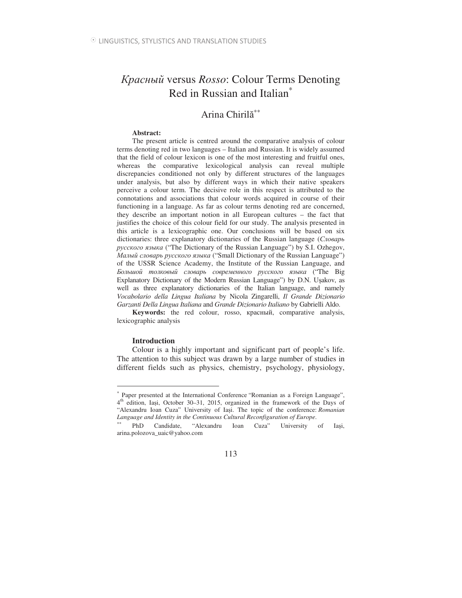## Красный versus Rosso: Colour Terms Denoting Red in Russian and Italian<sup>\*</sup>

# Arina Chirilă<sup>\*\*</sup>

## **Abstract:**

The present article is centred around the comparative analysis of colour terms denoting red in two languages – Italian and Russian. It is widely assumed that the field of colour lexicon is one of the most interesting and fruitful ones, whereas the comparative lexicological analysis can reveal multiple discrepancies conditioned not only by different structures of the languages under analysis, but also by different ways in which their native speakers perceive a colour term. The decisive role in this respect is attributed to the connotations and associations that colour words acquired in course of their functioning in a language. As far as colour terms denoting red are concerned, they describe an important notion in all European cultures – the fact that justifies the choice of this colour field for our study. The analysis presented in this article is a lexicographic one. Our conclusions will be based on six dictionaries: three explanatory dictionaries of the Russian language (*Словарь* русского языка ("The Dictionary of the Russian Language") by S.I. Ozhegov, *Малый словарь русского языка* ("Small Dictionary of the Russian Language") of the USSR Science Academy, the Institute of the Russian Language, and Большой толковый словарь современного русского языка ("The Big Explanatory Dictionary of the Modern Russian Language") by D.N. Uşakov, as well as three explanatory dictionaries of the Italian language, and namely *Vocabolario della Lingua Italiana* by Nicola Zingarelli, *Il Grande Dizionario Garzanti Della Lingua Italiana* and *Grande Dizionario Italiano* by Gabrielli Aldo.

**Keywords:** the red colour, rosso, красный, comparative analysis, lexicographic analysis

## **Introduction**

 $\overline{a}$ 

Colour is a highly important and significant part of people's life. The attention to this subject was drawn by a large number of studies in different fields such as physics, chemistry, psychology, physiology,

<sup>∗</sup> Paper presented at the International Conference "Romanian as a Foreign Language", 4<sup>th</sup> edition, Iași, October 30–31, 2015, organized in the framework of the Days of "Alexandru Ioan Cuza" University of Iași. The topic of the conference: *Romanian Language and Identity in the Continuous Cultural Reconfiguration of Europe*.

PhD Candidate, "Alexandru Ioan Cuza" University of Iași, arina.polozova\_uaic@yahoo.com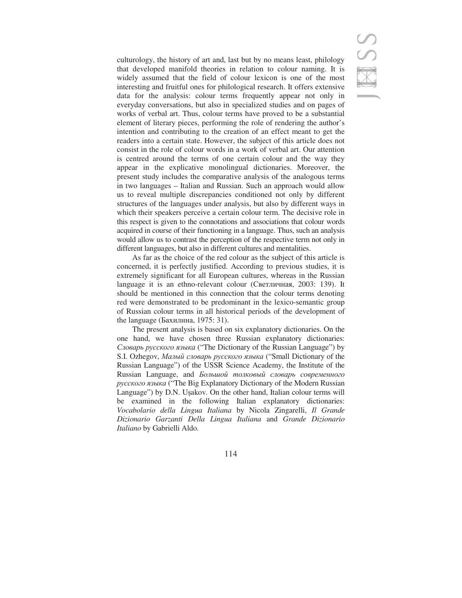SS

culturology, the history of art and, last but by no means least, philology that developed manifold theories in relation to colour naming. It is widely assumed that the field of colour lexicon is one of the most interesting and fruitful ones for philological research. It offers extensive data for the analysis: colour terms frequently appear not only in everyday conversations, but also in specialized studies and on pages of works of verbal art. Thus, colour terms have proved to be a substantial element of literary pieces, performing the role of rendering the author's intention and contributing to the creation of an effect meant to get the readers into a certain state. However, the subject of this article does not consist in the role of colour words in a work of verbal art. Our attention is centred around the terms of one certain colour and the way they appear in the explicative monolingual dictionaries. Moreover, the present study includes the comparative analysis of the analogous terms in two languages – Italian and Russian. Such an approach would allow us to reveal multiple discrepancies conditioned not only by different structures of the languages under analysis, but also by different ways in which their speakers perceive a certain colour term. The decisive role in this respect is given to the connotations and associations that colour words acquired in course of their functioning in a language. Thus, such an analysis would allow us to contrast the perception of the respective term not only in different languages, but also in different cultures and mentalities.

As far as the choice of the red colour as the subject of this article is concerned, it is perfectly justified. According to previous studies, it is extremely significant for all European cultures, whereas in the Russian language it is an ethno-relevant colour (Светличная, 2003: 139). It should be mentioned in this connection that the colour terms denoting red were demonstrated to be predominant in the lexico-semantic group of Russian colour terms in all historical periods of the development of the language (Бахилина, 1975: 31).

The present analysis is based on six explanatory dictionaries. On the one hand, we have chosen three Russian explanatory dictionaries: Словарь русского языка ("The Dictionary of the Russian Language") by S.I. Ozhegov, Малый словарь русского языка ("Small Dictionary of the Russian Language") of the USSR Science Academy, the Institute of the Russian Language, and *Большой толковый словарь современного* русского языка ("The Big Explanatory Dictionary of the Modern Russian Language") by D.N. Usakov. On the other hand, Italian colour terms will be examined in the following Italian explanatory dictionaries: *Vocabolario della Lingua Italiana* by Nicola Zingarelli, *Il Grande Dizionario Garzanti Della Lingua Italiana* and *Grande Dizionario Italiano* by Gabrielli Aldo.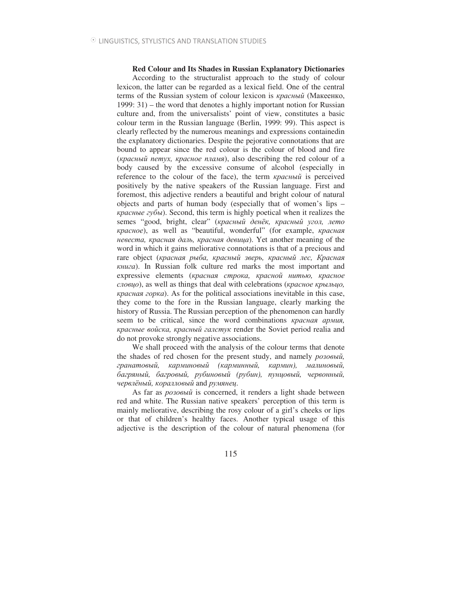## **Red Colour and Its Shades in Russian Explanatory Dictionaries**

According to the structuralist approach to the study of colour lexicon, the latter can be regarded as a lexical field. One of the central terms of the Russian system of colour lexicon is *красный* (Макеенко, 1999: 31) – the word that denotes a highly important notion for Russian culture and, from the universalists' point of view, constitutes a basic colour term in the Russian language (Berlin, 1999: 99). This aspect is clearly reflected by the numerous meanings and expressions containedin the explanatory dictionaries. Despite the pejorative connotations that are bound to appear since the red colour is the colour of blood and fire (красный петух, красное пламя), also describing the red colour of a body caused by the excessive consume of alcohol (especially in reference to the colour of the face), the term *красный* is perceived positively by the native speakers of the Russian language. First and foremost, this adjective renders a beautiful and bright colour of natural objects and parts of human body (especially that of women's lips – красные губы). Second, this term is highly poetical when it realizes the semes "good, bright, clear" (красный денёк, красный угол, лето *kpacное*), as well as "beautiful, wonderful" (for example, *красная невеста, красная даль, красная девица*). Yet another meaning of the word in which it gains meliorative connotations is that of a precious and rare object (*красная рыба, красный зверь, красный лес, Красная \$* ). In Russian folk culture red marks the most important and expressive elements (красная строка, красной нитью, красное *cловцо*), as well as things that deal with celebrations (красное крыльцо, красная горка). As for the political associations inevitable in this case, they come to the fore in the Russian language, clearly marking the history of Russia. The Russian perception of the phenomenon can hardly seem to be critical, since the word combinations *красная армия*, красные войска, красный галстук render the Soviet period realia and do not provoke strongly negative associations.

We shall proceed with the analysis of the colour terms that denote the shades of red chosen for the present study, and namely *poзoвый*, гранатовый, карминовый (карминный, кармин), малиновый, багряный, багровый, рубиновый (рубин), пунцовый, червонный, червлёный, коралловый and румянец.

As far as *розовый* is concerned, it renders a light shade between red and white. The Russian native speakers' perception of this term is mainly meliorative, describing the rosy colour of a girl's cheeks or lips or that of children's healthy faces. Another typical usage of this adjective is the description of the colour of natural phenomena (for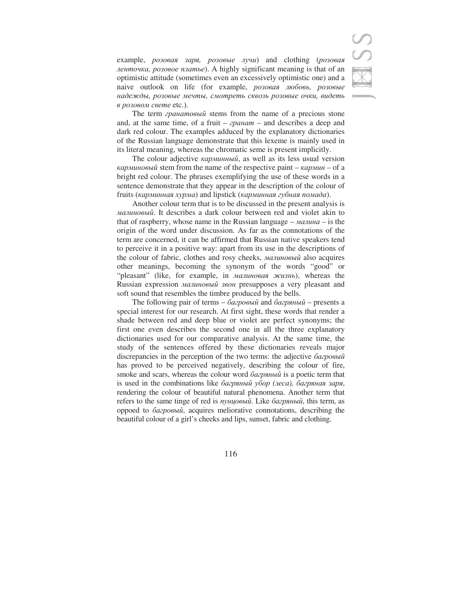example, *розовая заря, розовые лучи*) and clothing (*розовая* ленточка, розовое платье). A highly significant meaning is that of an optimistic attitude (sometimes even an excessively optimistic one) and a naive outlook on life (for example, *розовая любовь, розовые* надежды, розовые мечты, смотреть сквозь розовые очки, видеть в розовом свете etc.).

The term *гранатовый* stems from the name of a precious stone and, at the same time, of a fruit – *apanam* – and describes a deep and dark red colour. The examples adduced by the explanatory dictionaries of the Russian language demonstrate that this lexeme is mainly used in its literal meaning, whereas the chromatic seme is present implicitly.

The colour adjective *карминный*, as well as its less usual version  $\kappa$ *ap MuHo Bbu i* stem from the name of the respective paint –  $\kappa$ *ap MuH* – of a bright red colour. The phrases exemplifying the use of these words in a sentence demonstrate that they appear in the description of the colour of fruits (карминная хурма) and lipstick (карминная губная помада).

Another colour term that is to be discussed in the present analysis is *малиновый*. It describes a dark colour between red and violet akin to that of raspberry, whose name in the Russian language  $-$  *ManuHa*  $-$  is the origin of the word under discussion. As far as the connotations of the term are concerned, it can be affirmed that Russian native speakers tend to perceive it in a positive way: apart from its use in the descriptions of the colour of fabric, clothes and rosy cheeks, малиновый also acquires other meanings, becoming the synonym of the words "good" or "pleasant" (like, for example, in малиновая жизнь), whereas the Russian expression *малиновый звон* presupposes a very pleasant and soft sound that resembles the timbre produced by the bells.

The following pair of terms – багровый and багряный – presents a special interest for our research. At first sight, these words that render a shade between red and deep blue or violet are perfect synonyms; the first one even describes the second one in all the three explanatory dictionaries used for our comparative analysis. At the same time, the study of the sentences offered by these dictionaries reveals major discrepancies in the perception of the two terms: the adjective  $\delta$ *aгровый* has proved to be perceived negatively, describing the colour of fire, smoke and scars, whereas the colour word багряный is a poetic term that is used in the combinations like *багряный убор (леса), багряная заря,* rendering the colour of beautiful natural phenomena. Another term that refers to the same tinge of red is *пунцовый*. Like *багряный*, this term, as орроеd to багровый, acquires meliorative connotations, describing the beautiful colour of a girl's cheeks and lips, sunset, fabric and clothing.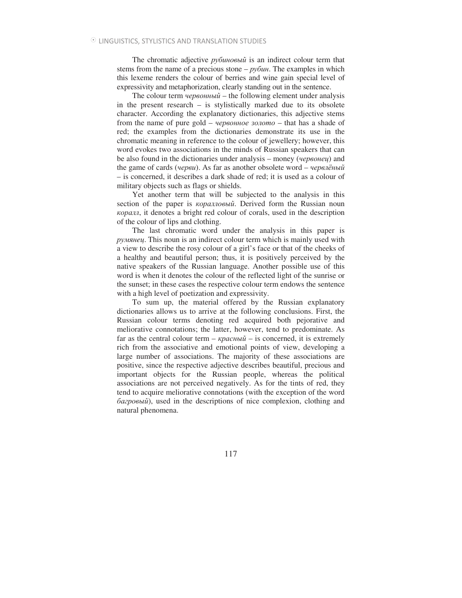The chromatic adjective *рубиновый* is an indirect colour term that stems from the name of a precious stone  $-py\delta u$ . The examples in which this lexeme renders the colour of berries and wine gain special level of expressivity and metaphorization, clearly standing out in the sentence.

The colour term  $\psi$ *uepson ubility* – the following element under analysis in the present research – is stylistically marked due to its obsolete character. According the explanatory dictionaries, this adjective stems from the name of pure gold – *червонное золото* – that has a shade of red; the examples from the dictionaries demonstrate its use in the chromatic meaning in reference to the colour of jewellery; however, this word evokes two associations in the minds of Russian speakers that can be also found in the dictionaries under analysis – money (*червонеи*) and the game of cards (*yepeu*). As far as another obsolete word – *yepenë Hbu* – is concerned, it describes a dark shade of red; it is used as a colour of military objects such as flags or shields.

Yet another term that will be subjected to the analysis in this section of the paper is *kopannosuu*. Derived form the Russian noun , it denotes a bright red colour of corals, used in the description of the colour of lips and clothing.

The last chromatic word under the analysis in this paper is *румянец*. This noun is an indirect colour term which is mainly used with a view to describe the rosy colour of a girl's face or that of the cheeks of a healthy and beautiful person; thus, it is positively perceived by the native speakers of the Russian language. Another possible use of this word is when it denotes the colour of the reflected light of the sunrise or the sunset; in these cases the respective colour term endows the sentence with a high level of poetization and expressivity.

To sum up, the material offered by the Russian explanatory dictionaries allows us to arrive at the following conclusions. First, the Russian colour terms denoting red acquired both pejorative and meliorative connotations; the latter, however, tend to predominate. As far as the central colour term  $-\kappa$ *pachu* $\tilde{u}$  – is concerned, it is extremely rich from the associative and emotional points of view, developing a large number of associations. The majority of these associations are positive, since the respective adjective describes beautiful, precious and important objects for the Russian people, whereas the political associations are not perceived negatively. As for the tints of red, they tend to acquire meliorative connotations (with the exception of the word багровый), used in the descriptions of nice complexion, clothing and natural phenomena.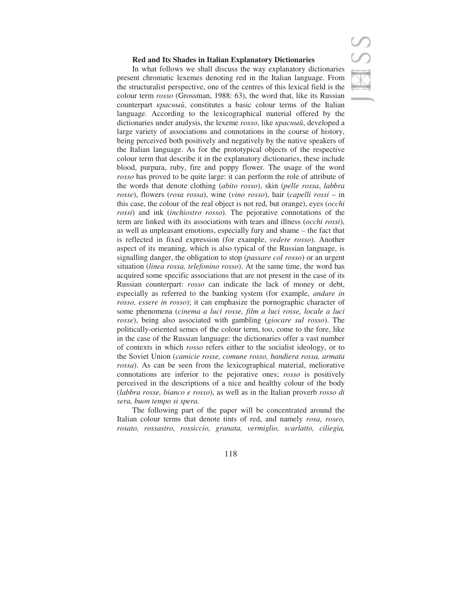## **Red and Its Shades in Italian Explanatory Dictionaries**



The following part of the paper will be concentrated around the Italian colour terms that denote tints of red, and namely *rosa, roseo, rosato, rossastro, rossiccio, granata, vermiglio, scarlatto, ciliegia,*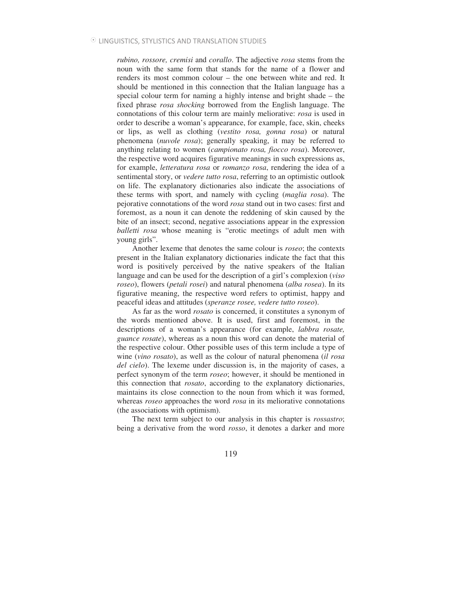*rubino, rossore, cremisi* and *corallo*. The adjective *rosa* stems from the noun with the same form that stands for the name of a flower and renders its most common colour – the one between white and red. It should be mentioned in this connection that the Italian language has a special colour term for naming a highly intense and bright shade – the fixed phrase *rosa shocking* borrowed from the English language. The connotations of this colour term are mainly meliorative: *rosa* is used in order to describe a woman's appearance, for example, face, skin, cheeks or lips, as well as clothing (*vestito rosa, gonna rosa*) or natural phenomena (*nuvole rosa*); generally speaking, it may be referred to anything relating to women (*campionato rosa, fiocco rosa*). Moreover, the respective word acquires figurative meanings in such expressions as, for example, *letteratura rosa* or *romanzo rosa*, rendering the idea of a sentimental story, or *vedere tutto rosa*, referring to an optimistic outlook on life. The explanatory dictionaries also indicate the associations of these terms with sport, and namely with cycling (*maglia rosa*). The pejorative connotations of the word *rosa* stand out in two cases: first and foremost, as a noun it can denote the reddening of skin caused by the bite of an insect; second, negative associations appear in the expression *balletti rosa* whose meaning is "erotic meetings of adult men with young girls".

Another lexeme that denotes the same colour is *roseo*; the contexts present in the Italian explanatory dictionaries indicate the fact that this word is positively perceived by the native speakers of the Italian language and can be used for the description of a girl's complexion (*viso roseo*), flowers (*petali rosei*) and natural phenomena (*alba rosea*). In its figurative meaning, the respective word refers to optimist, happy and peaceful ideas and attitudes (*speranze rosee, vedere tutto roseo*).

As far as the word *rosato* is concerned, it constitutes a synonym of the words mentioned above. It is used, first and foremost, in the descriptions of a woman's appearance (for example, *labbra rosate, guance rosate*), whereas as a noun this word can denote the material of the respective colour. Other possible uses of this term include a type of wine (*vino rosato*), as well as the colour of natural phenomena (*il rosa del cielo*). The lexeme under discussion is, in the majority of cases, a perfect synonym of the term *roseo*; however, it should be mentioned in this connection that *rosato*, according to the explanatory dictionaries, maintains its close connection to the noun from which it was formed, whereas *roseo* approaches the word *rosa* in its meliorative connotations (the associations with optimism).

The next term subject to our analysis in this chapter is *rossastro*; being a derivative from the word *rosso*, it denotes a darker and more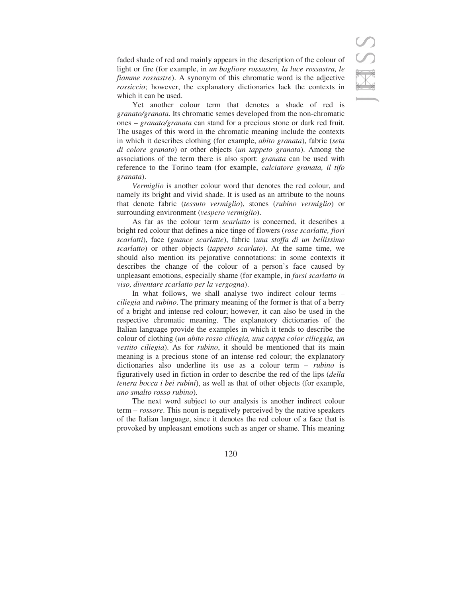faded shade of red and mainly appears in the description of the colour of light or fire (for example, in *un bagliore rossastro, la luce rossastra, le fiamme rossastre*). A synonym of this chromatic word is the adjective *rossiccio*; however, the explanatory dictionaries lack the contexts in which it can be used.

Yet another colour term that denotes a shade of red is *granato/granata*. Its chromatic semes developed from the non-chromatic ones – *granato/granata* can stand for a precious stone or dark red fruit. The usages of this word in the chromatic meaning include the contexts in which it describes clothing (for example, *abito granata*), fabric (*seta di colore granato*) or other objects (*un tappeto granata*). Among the associations of the term there is also sport: *granata* can be used with reference to the Torino team (for example, *calciatore granata, il tifo granata*).

*Vermiglio* is another colour word that denotes the red colour, and namely its bright and vivid shade. It is used as an attribute to the nouns that denote fabric (*tessuto vermiglio*), stones (*rubino vermiglio*) or surrounding environment (*vespero vermiglio*).

As far as the colour term *scarlatto* is concerned, it describes a bright red colour that defines a nice tinge of flowers (*rose scarlatte, fiori scarlatti*), face (*guance scarlatte*), fabric (*una stoffa di un bellissimo scarlatto*) or other objects (*tappeto scarlato*). At the same time, we should also mention its pejorative connotations: in some contexts it describes the change of the colour of a person's face caused by unpleasant emotions, especially shame (for example, in *farsi scarlatto in viso, diventare scarlatto per la vergogna*).

In what follows, we shall analyse two indirect colour terms – *ciliegia* and *rubino*. The primary meaning of the former is that of a berry of a bright and intense red colour; however, it can also be used in the respective chromatic meaning. The explanatory dictionaries of the Italian language provide the examples in which it tends to describe the colour of clothing (*un abito rosso ciliegia, una cappa color cilieggia, un vestito ciliegia*). As for *rubino*, it should be mentioned that its main meaning is a precious stone of an intense red colour; the explanatory dictionaries also underline its use as a colour term – *rubino* is figuratively used in fiction in order to describe the red of the lips (*della tenera bocca i bei rubini*), as well as that of other objects (for example, *uno smalto rosso rubino*).

The next word subject to our analysis is another indirect colour term – *rossore*. This noun is negatively perceived by the native speakers of the Italian language, since it denotes the red colour of a face that is provoked by unpleasant emotions such as anger or shame. This meaning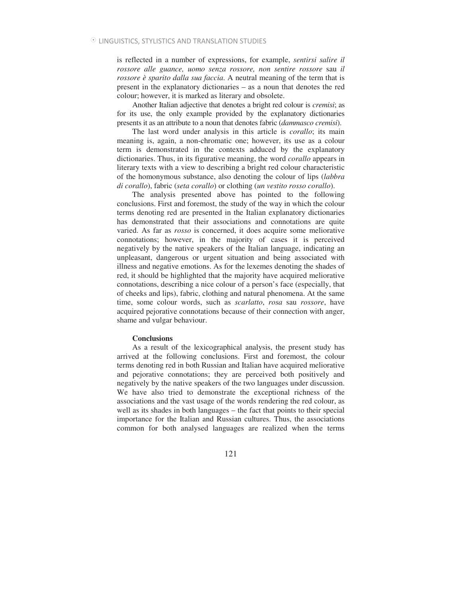is reflected in a number of expressions, for example, *sentirsi salire il rossore alle guance, uomo senza rossore, non sentire rossore* sau *il rossore è sparito dalla sua faccia*. A neutral meaning of the term that is present in the explanatory dictionaries – as a noun that denotes the red colour; however, it is marked as literary and obsolete.

Another Italian adjective that denotes a bright red colour is *cremisi*; as for its use, the only example provided by the explanatory dictionaries presents it as an attribute to a noun that denotes fabric (*dammasco cremisi*).

The last word under analysis in this article is *corallo*; its main meaning is, again, a non-chromatic one; however, its use as a colour term is demonstrated in the contexts adduced by the explanatory dictionaries. Thus, in its figurative meaning, the word *corallo* appears in literary texts with a view to describing a bright red colour characteristic of the homonymous substance, also denoting the colour of lips (*labbra di corallo*), fabric (*seta corallo*) or clothing (*un vestito rosso corallo*).

The analysis presented above has pointed to the following conclusions. First and foremost, the study of the way in which the colour terms denoting red are presented in the Italian explanatory dictionaries has demonstrated that their associations and connotations are quite varied. As far as *rosso* is concerned, it does acquire some meliorative connotations; however, in the majority of cases it is perceived negatively by the native speakers of the Italian language, indicating an unpleasant, dangerous or urgent situation and being associated with illness and negative emotions. As for the lexemes denoting the shades of red, it should be highlighted that the majority have acquired meliorative connotations, describing a nice colour of a person's face (especially, that of cheeks and lips), fabric, clothing and natural phenomena. At the same time, some colour words, such as *scarlatto*, *rosa* sau *rossore*, have acquired pejorative connotations because of their connection with anger, shame and vulgar behaviour.

#### **Conclusions**

As a result of the lexicographical analysis, the present study has arrived at the following conclusions. First and foremost, the colour terms denoting red in both Russian and Italian have acquired meliorative and pejorative connotations; they are perceived both positively and negatively by the native speakers of the two languages under discussion. We have also tried to demonstrate the exceptional richness of the associations and the vast usage of the words rendering the red colour, as well as its shades in both languages – the fact that points to their special importance for the Italian and Russian cultures. Thus, the associations common for both analysed languages are realized when the terms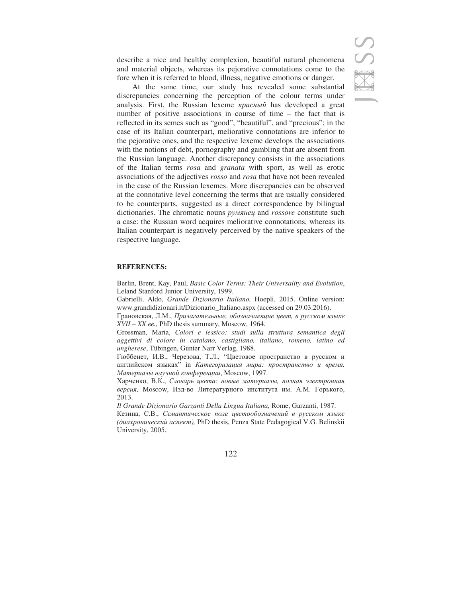describe a nice and healthy complexion, beautiful natural phenomena and material objects, whereas its pejorative connotations come to the fore when it is referred to blood, illness, negative emotions or danger.

At the same time, our study has revealed some substantial discrepancies concerning the perception of the colour terms under analysis. First, the Russian lexeme *красный* has developed a great number of positive associations in course of time – the fact that is reflected in its semes such as "good", "beautiful", and "precious"; in the case of its Italian counterpart, meliorative connotations are inferior to the pejorative ones, and the respective lexeme develops the associations with the notions of debt, pornography and gambling that are absent from the Russian language. Another discrepancy consists in the associations of the Italian terms *rosa* and *granata* with sport, as well as erotic associations of the adjectives *rosso* and *rosa* that have not been revealed in the case of the Russian lexemes. More discrepancies can be observed at the connotative level concerning the terms that are usually considered to be counterparts, suggested as a direct correspondence by bilingual dictionaries. The chromatic nouns *pyмянец* and *rossore* constitute such a case: the Russian word acquires meliorative connotations, whereas its Italian counterpart is negatively perceived by the native speakers of the respective language.

## **REFERENCES:**

Berlin, Brent, Kay, Paul, *Basic Color Terms: Their Universality and Evolution*, Leland Stanford Junior University, 1999.

Gabrielli, Aldo, *Grande Dizionario Italiano,* Hoepli, 2015. Online version: www.grandidizionari.it/Dizionario\_Italiano.aspx (accessed on 29.03.2016).

Грановская, Л.М., *Прилагательные, обозначающие цвет, в русском языке*  $XVII - XX$   $66$ ., PhD thesis summary, Moscow, 1964.

Grossman, Maria, *Colori e lessico: studi sulla struttura semantica degli aggettivi di colore in catalano, castigliano, italiano, romeno, latino ed ungherese*, Tübingen, Gunter Narr Verlag, 1988.

Гюббенет, И.В., Черезова, Т.Л., "Цветовое пространство в русском и английском языках" in *Категоризация мира: пространство и время.*  $M$ атериалы научной конференции, Moscow, 1997.

Харченко, В.К., *Словарь цвета: новые материалы, полная электронная* версия, Moscow, Изд-во Литературного института им. А.М. Горького, 2013.

*Il Grande Dizionario Garzanti Della Lingua Italiana,* Rome, Garzanti, 1987.

Кезина, С.В., Семантическое поле цветообозначений в русском языке (диахронический аспект), PhD thesis, Penza State Pedagogical V.G. Belinskii University, 2005.